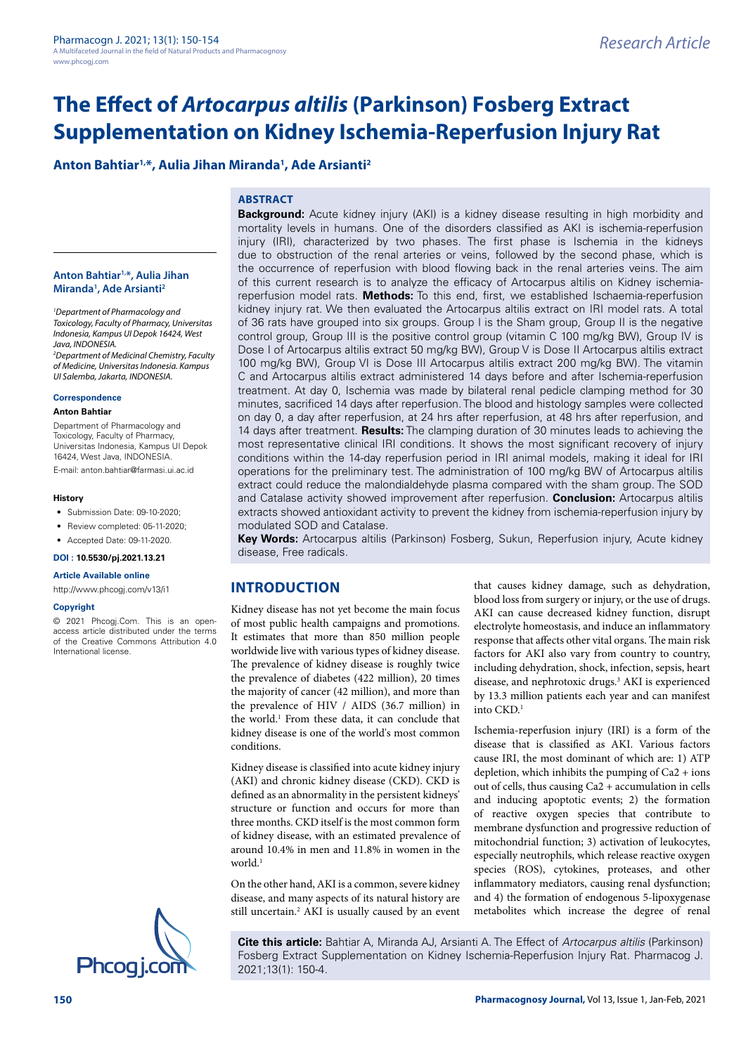# **Anton Bahtiar1,\*, Aulia Jihan Miranda1 , Ade Arsianti2**

# **ABSTRACT**

injury (IRI), characterized by two phases. The first phase is Ischemia in the kidneys due to obstruction of the renal arteries or veins, followed by the second phase, which is the occurrence of reperfusion with blood flowing back in the renal arteries veins. The aim of this current research is to analyze the efficacy of Artocarpus altilis on Kidney ischemiareperfusion model rats. **Methods:** To this end, first, we established Ischaemia-reperfusion kidney injury rat. We then evaluated the Artocarpus altilis extract on IRI model rats. A total of 36 rats have grouped into six groups. Group I is the Sham group, Group II is the negative control group, Group III is the positive control group (vitamin C 100 mg/kg BW), Group IV is Dose I of Artocarpus altilis extract 50 mg/kg BW), Group V is Dose II Artocarpus altilis extract 100 mg/kg BW), Group VI is Dose III Artocarpus altilis extract 200 mg/kg BW). The vitamin C and Artocarpus altilis extract administered 14 days before and after Ischemia-reperfusion treatment. At day 0, Ischemia was made by bilateral renal pedicle clamping method for 30 minutes, sacrificed 14 days after reperfusion. The blood and histology samples were collected on day 0, a day after reperfusion, at 24 hrs after reperfusion, at 48 hrs after reperfusion, and 14 days after treatment. **Results:** The clamping duration of 30 minutes leads to achieving the most representative clinical IRI conditions. It shows the most significant recovery of injury conditions within the 14-day reperfusion period in IRI animal models, making it ideal for IRI operations for the preliminary test. The administration of 100 mg/kg BW of Artocarpus altilis extract could reduce the malondialdehyde plasma compared with the sham group. The SOD and Catalase activity showed improvement after reperfusion. **Conclusion:** Artocarpus altilis extracts showed antioxidant activity to prevent the kidney from ischemia-reperfusion injury by modulated SOD and Catalase.

**Background:** Acute kidney injury (AKI) is a kidney disease resulting in high morbidity and mortality levels in humans. One of the disorders classified as AKI is ischemia-reperfusion

**Key Words:** Artocarpus altilis (Parkinson) Fosberg, Sukun, Reperfusion injury, Acute kidney disease, Free radicals.

# **INTRODUCTION**

Kidney disease has not yet become the main focus of most public health campaigns and promotions. It estimates that more than 850 million people worldwide live with various types of kidney disease. The prevalence of kidney disease is roughly twice the prevalence of diabetes (422 million), 20 times the majority of cancer (42 million), and more than the prevalence of HIV / AIDS (36.7 million) in the world.<sup>1</sup> From these data, it can conclude that kidney disease is one of the world's most common conditions.

Kidney disease is classified into acute kidney injury (AKI) and chronic kidney disease (CKD). CKD is defined as an abnormality in the persistent kidneys' structure or function and occurs for more than three months. CKD itself is the most common form of kidney disease, with an estimated prevalence of around 10.4% in men and 11.8% in women in the world<sup>1</sup>

On the other hand, AKI is a common, severe kidney disease, and many aspects of its natural history are still uncertain.<sup>2</sup> AKI is usually caused by an event that causes kidney damage, such as dehydration, blood loss from surgery or injury, or the use of drugs. AKI can cause decreased kidney function, disrupt electrolyte homeostasis, and induce an inflammatory response that affects other vital organs. The main risk factors for AKI also vary from country to country, including dehydration, shock, infection, sepsis, heart disease, and nephrotoxic drugs.<sup>3</sup> AKI is experienced by 13.3 million patients each year and can manifest into CKD.1

Ischemia-reperfusion injury (IRI) is a form of the disease that is classified as AKI. Various factors cause IRI, the most dominant of which are: 1) ATP depletion, which inhibits the pumping of Ca2 + ions out of cells, thus causing Ca2 + accumulation in cells and inducing apoptotic events; 2) the formation of reactive oxygen species that contribute to membrane dysfunction and progressive reduction of mitochondrial function; 3) activation of leukocytes, especially neutrophils, which release reactive oxygen species (ROS), cytokines, proteases, and other inflammatory mediators, causing renal dysfunction; and 4) the formation of endogenous 5-lipoxygenase metabolites which increase the degree of renal

**Cite this article:** Bahtiar A, Miranda AJ, Arsianti A. The Effect of *Artocarpus altilis* (Parkinson) Fosberg Extract Supplementation on Kidney Ischemia-Reperfusion Injury Rat. Pharmacog J.<br>2021;13(1): 150-4.

#### **Anton Bahtiar1,\*, Aulia Jihan Miranda1 , Ade Arsianti2**

*1 Department of Pharmacology and Toxicology, Faculty of Pharmacy, Universitas Indonesia, Kampus UI Depok 16424, West Java, INDONESIA.*

*2 Department of Medicinal Chemistry, Faculty of Medicine, Universitas Indonesia. Kampus UI Salemba, Jakarta, INDONESIA.*

**Correspondence**

#### **Anton Bahtiar**

Department of Pharmacology and Toxicology, Faculty of Pharmacy, Universitas Indonesia, Kampus UI Depok 16424, West Java, INDONESIA.

E-mail: [anton.bahtiar@farmasi.ui.ac.id](mailto:anton.bahtiar@farmasi.ui.ac.id)

#### **History**

- Submission Date: 09-10-2020;
- Review completed: 05-11-2020;
- Accepted Date: 09-11-2020.

**DOI : 10.5530/pj.2021.13.21**

#### **Article Available online**

<http://www.phcogj.com/v13/i1>

#### **Copyright**

© 2021 Phcogj.Com. This is an openaccess article distributed under the terms of the Creative Commons Attribution 4.0 International license.

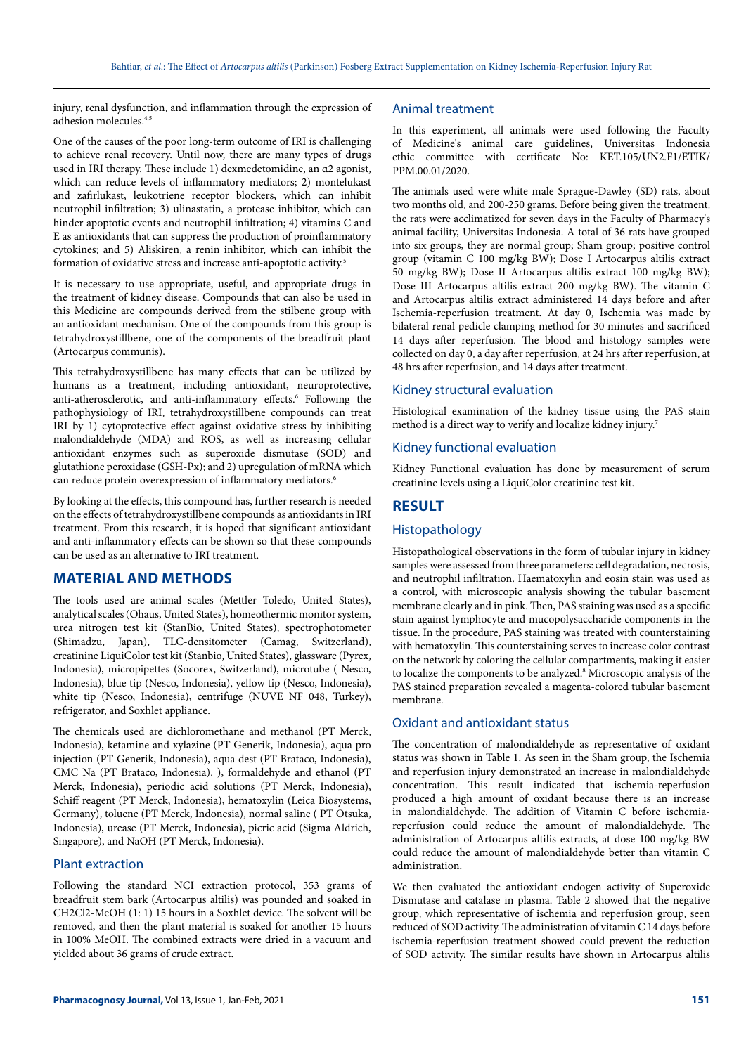injury, renal dysfunction, and inflammation through the expression of adhesion molecules.4,5

One of the causes of the poor long-term outcome of IRI is challenging to achieve renal recovery. Until now, there are many types of drugs used in IRI therapy. These include 1) dexmedetomidine, an α2 agonist, which can reduce levels of inflammatory mediators; 2) montelukast and zafirlukast, leukotriene receptor blockers, which can inhibit neutrophil infiltration; 3) ulinastatin, a protease inhibitor, which can hinder apoptotic events and neutrophil infiltration; 4) vitamins C and E as antioxidants that can suppress the production of proinflammatory cytokines; and 5) Aliskiren, a renin inhibitor, which can inhibit the formation of oxidative stress and increase anti-apoptotic activity.5

It is necessary to use appropriate, useful, and appropriate drugs in the treatment of kidney disease. Compounds that can also be used in this Medicine are compounds derived from the stilbene group with an antioxidant mechanism. One of the compounds from this group is tetrahydroxystillbene, one of the components of the breadfruit plant (Artocarpus communis).

This tetrahydroxystillbene has many effects that can be utilized by humans as a treatment, including antioxidant, neuroprotective, anti-atherosclerotic, and anti-inflammatory effects.<sup>6</sup> Following the pathophysiology of IRI, tetrahydroxystillbene compounds can treat IRI by 1) cytoprotective effect against oxidative stress by inhibiting malondialdehyde (MDA) and ROS, as well as increasing cellular antioxidant enzymes such as superoxide dismutase (SOD) and glutathione peroxidase (GSH-Px); and 2) upregulation of mRNA which can reduce protein overexpression of inflammatory mediators.<sup>6</sup>

By looking at the effects, this compound has, further research is needed on the effects of tetrahydroxystillbene compounds as antioxidants in IRI treatment. From this research, it is hoped that significant antioxidant and anti-inflammatory effects can be shown so that these compounds can be used as an alternative to IRI treatment.

# **MATERIAL AND METHODS**

The tools used are animal scales (Mettler Toledo, United States), analytical scales (Ohaus, United States), homeothermic monitor system, urea nitrogen test kit (StanBio, United States), spectrophotometer (Shimadzu, Japan), TLC-densitometer (Camag, Switzerland), creatinine LiquiColor test kit (Stanbio, United States), glassware (Pyrex, Indonesia), micropipettes (Socorex, Switzerland), microtube ( Nesco, Indonesia), blue tip (Nesco, Indonesia), yellow tip (Nesco, Indonesia), white tip (Nesco, Indonesia), centrifuge (NUVE NF 048, Turkey), refrigerator, and Soxhlet appliance.

The chemicals used are dichloromethane and methanol (PT Merck, Indonesia), ketamine and xylazine (PT Generik, Indonesia), aqua pro injection (PT Generik, Indonesia), aqua dest (PT Brataco, Indonesia), CMC Na (PT Brataco, Indonesia). ), formaldehyde and ethanol (PT Merck, Indonesia), periodic acid solutions (PT Merck, Indonesia), Schiff reagent (PT Merck, Indonesia), hematoxylin (Leica Biosystems, Germany), toluene (PT Merck, Indonesia), normal saline ( PT Otsuka, Indonesia), urease (PT Merck, Indonesia), picric acid (Sigma Aldrich, Singapore), and NaOH (PT Merck, Indonesia).

#### Plant extraction

Following the standard NCI extraction protocol, 353 grams of breadfruit stem bark (Artocarpus altilis) was pounded and soaked in CH2Cl2-MeOH (1: 1) 15 hours in a Soxhlet device. The solvent will be removed, and then the plant material is soaked for another 15 hours in 100% MeOH. The combined extracts were dried in a vacuum and yielded about 36 grams of crude extract.

### Animal treatment

In this experiment, all animals were used following the Faculty of Medicine's animal care guidelines, Universitas Indonesia ethic committee with certificate No: KET.105/UN2.F1/ETIK/ PPM.00.01/2020.

The animals used were white male Sprague-Dawley (SD) rats, about two months old, and 200-250 grams. Before being given the treatment, the rats were acclimatized for seven days in the Faculty of Pharmacy's animal facility, Universitas Indonesia. A total of 36 rats have grouped into six groups, they are normal group; Sham group; positive control group (vitamin C 100 mg/kg BW); Dose I Artocarpus altilis extract 50 mg/kg BW); Dose II Artocarpus altilis extract 100 mg/kg BW); Dose III Artocarpus altilis extract 200 mg/kg BW). The vitamin C and Artocarpus altilis extract administered 14 days before and after Ischemia-reperfusion treatment. At day 0, Ischemia was made by bilateral renal pedicle clamping method for 30 minutes and sacrificed 14 days after reperfusion. The blood and histology samples were collected on day 0, a day after reperfusion, at 24 hrs after reperfusion, at 48 hrs after reperfusion, and 14 days after treatment.

#### Kidney structural evaluation

Histological examination of the kidney tissue using the PAS stain method is a direct way to verify and localize kidney injury.7

## Kidney functional evaluation

Kidney Functional evaluation has done by measurement of serum creatinine levels using a LiquiColor creatinine test kit.

### **RESULT**

# Histopathology

Histopathological observations in the form of tubular injury in kidney samples were assessed from three parameters: cell degradation, necrosis, and neutrophil infiltration. Haematoxylin and eosin stain was used as a control, with microscopic analysis showing the tubular basement membrane clearly and in pink. Then, PAS staining was used as a specific stain against lymphocyte and mucopolysaccharide components in the tissue. In the procedure, PAS staining was treated with counterstaining with hematoxylin. This counterstaining serves to increase color contrast on the network by coloring the cellular compartments, making it easier to localize the components to be analyzed.<sup>8</sup> Microscopic analysis of the PAS stained preparation revealed a magenta-colored tubular basement membrane.

#### Oxidant and antioxidant status

The concentration of malondialdehyde as representative of oxidant status was shown in Table 1. As seen in the Sham group, the Ischemia and reperfusion injury demonstrated an increase in malondialdehyde concentration. This result indicated that ischemia-reperfusion produced a high amount of oxidant because there is an increase in malondialdehyde. The addition of Vitamin C before ischemiareperfusion could reduce the amount of malondialdehyde. The administration of Artocarpus altilis extracts, at dose 100 mg/kg BW could reduce the amount of malondialdehyde better than vitamin C administration.

We then evaluated the antioxidant endogen activity of Superoxide Dismutase and catalase in plasma. Table 2 showed that the negative group, which representative of ischemia and reperfusion group, seen reduced of SOD activity. The administration of vitamin C 14 days before ischemia-reperfusion treatment showed could prevent the reduction of SOD activity. The similar results have shown in Artocarpus altilis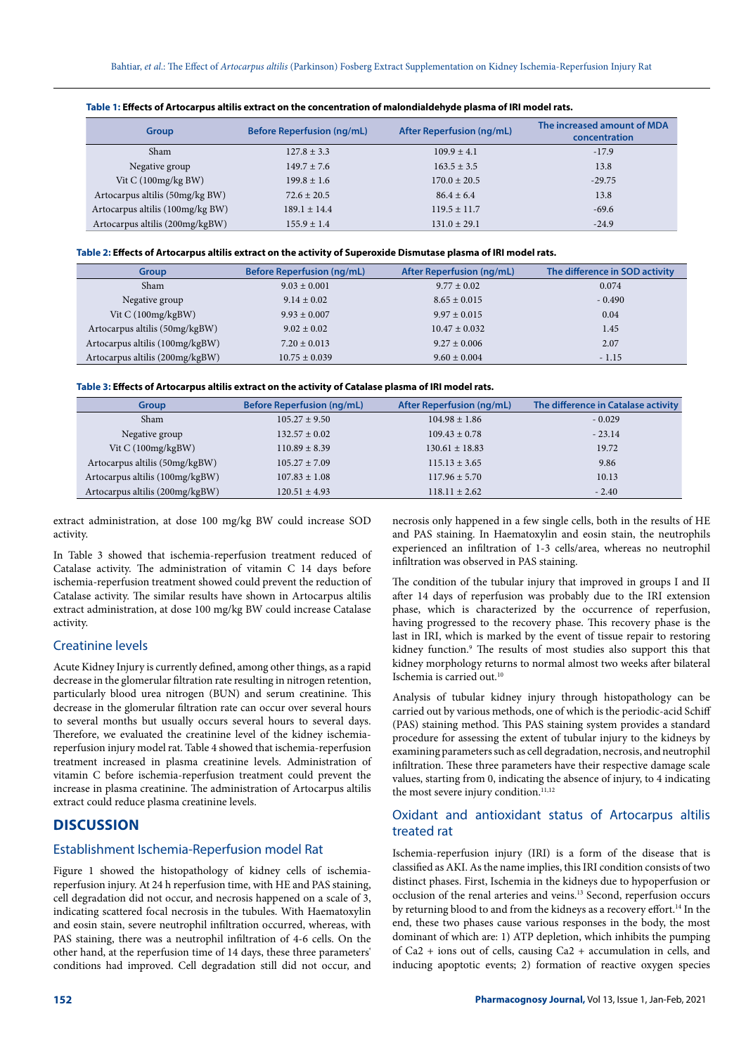| <b>Group</b>                     | <b>Before Reperfusion (ng/mL)</b> | <b>After Reperfusion (ng/mL)</b> | The increased amount of MDA<br>concentration |
|----------------------------------|-----------------------------------|----------------------------------|----------------------------------------------|
| Sham                             | $127.8 \pm 3.3$                   | $109.9 \pm 4.1$                  | $-17.9$                                      |
| Negative group                   | $149.7 \pm 7.6$                   | $163.5 \pm 3.5$                  | 13.8                                         |
| Vit $C(100mg/kgBW)$              | $199.8 \pm 1.6$                   | $170.0 \pm 20.5$                 | $-29.75$                                     |
| Artocarpus altilis (50mg/kg BW)  | $72.6 \pm 20.5$                   | $86.4 \pm 6.4$                   | 13.8                                         |
| Artocarpus altilis (100mg/kg BW) | $189.1 \pm 14.4$                  | $119.5 \pm 11.7$                 | $-69.6$                                      |
| Artocarpus altilis (200mg/kgBW)  | $155.9 \pm 1.4$                   | $131.0 \pm 29.1$                 | $-24.9$                                      |

| Table 1: Effects of Artocarpus altilis extract on the concentration of malondialdehyde plasma of IRI model rats. |  |  |
|------------------------------------------------------------------------------------------------------------------|--|--|
|------------------------------------------------------------------------------------------------------------------|--|--|

## **Table 2: Effects of Artocarpus altilis extract on the activity of Superoxide Dismutase plasma of IRI model rats.**

| <b>Group</b>                    | <b>Before Reperfusion (ng/mL)</b> | <b>After Reperfusion (ng/mL)</b> | The difference in SOD activity |
|---------------------------------|-----------------------------------|----------------------------------|--------------------------------|
| Sham                            | $9.03 \pm 0.001$                  | $9.77 \pm 0.02$                  | 0.074                          |
| Negative group                  | $9.14 \pm 0.02$                   | $8.65 \pm 0.015$                 | $-0.490$                       |
| Vit $C(100mg/kgBW)$             | $9.93 \pm 0.007$                  | $9.97 \pm 0.015$                 | 0.04                           |
| Artocarpus altilis (50mg/kgBW)  | $9.02 \pm 0.02$                   | $10.47 \pm 0.032$                | 1.45                           |
| Artocarpus altilis (100mg/kgBW) | $7.20 \pm 0.013$                  | $9.27 \pm 0.006$                 | 2.07                           |
| Artocarpus altilis (200mg/kgBW) | $10.75 \pm 0.039$                 | $9.60 \pm 0.004$                 | $-1.15$                        |

| Group                           | <b>Before Reperfusion (ng/mL)</b> | <b>After Reperfusion (ng/mL)</b> | The difference in Catalase activity |
|---------------------------------|-----------------------------------|----------------------------------|-------------------------------------|
| Sham                            | $105.27 \pm 9.50$                 | $104.98 \pm 1.86$                | $-0.029$                            |
| Negative group                  | $132.57 \pm 0.02$                 | $109.43 \pm 0.78$                | $-23.14$                            |
| Vit $C(100mg/kgBW)$             | $110.89 \pm 8.39$                 | $130.61 \pm 18.83$               | 19.72                               |
| Artocarpus altilis (50mg/kgBW)  | $105.27 \pm 7.09$                 | $115.13 \pm 3.65$                | 9.86                                |
| Artocarpus altilis (100mg/kgBW) | $107.83 \pm 1.08$                 | $117.96 \pm 5.70$                | 10.13                               |
| Artocarpus altilis (200mg/kgBW) | $120.51 \pm 4.93$                 | $118.11 \pm 2.62$                | $-2.40$                             |

extract administration, at dose 100 mg/kg BW could increase SOD activity.

In Table 3 showed that ischemia-reperfusion treatment reduced of Catalase activity. The administration of vitamin C 14 days before ischemia-reperfusion treatment showed could prevent the reduction of Catalase activity. The similar results have shown in Artocarpus altilis extract administration, at dose 100 mg/kg BW could increase Catalase activity.

#### Creatinine levels

Acute Kidney Injury is currently defined, among other things, as a rapid decrease in the glomerular filtration rate resulting in nitrogen retention, particularly blood urea nitrogen (BUN) and serum creatinine. This decrease in the glomerular filtration rate can occur over several hours to several months but usually occurs several hours to several days. Therefore, we evaluated the creatinine level of the kidney ischemiareperfusion injury model rat. Table 4 showed that ischemia-reperfusion treatment increased in plasma creatinine levels. Administration of vitamin C before ischemia-reperfusion treatment could prevent the increase in plasma creatinine. The administration of Artocarpus altilis extract could reduce plasma creatinine levels.

## **DISCUSSION**

#### Establishment Ischemia-Reperfusion model Rat

Figure 1 showed the histopathology of kidney cells of ischemiareperfusion injury. At 24 h reperfusion time, with HE and PAS staining, cell degradation did not occur, and necrosis happened on a scale of 3, indicating scattered focal necrosis in the tubules. With Haematoxylin and eosin stain, severe neutrophil infiltration occurred, whereas, with PAS staining, there was a neutrophil infiltration of 4-6 cells. On the other hand, at the reperfusion time of 14 days, these three parameters' conditions had improved. Cell degradation still did not occur, and

necrosis only happened in a few single cells, both in the results of HE and PAS staining. In Haematoxylin and eosin stain, the neutrophils experienced an infiltration of 1-3 cells/area, whereas no neutrophil infiltration was observed in PAS staining.

The condition of the tubular injury that improved in groups I and II after 14 days of reperfusion was probably due to the IRI extension phase, which is characterized by the occurrence of reperfusion, having progressed to the recovery phase. This recovery phase is the last in IRI, which is marked by the event of tissue repair to restoring kidney function.<sup>9</sup> The results of most studies also support this that kidney morphology returns to normal almost two weeks after bilateral Ischemia is carried out.<sup>10</sup>

Analysis of tubular kidney injury through histopathology can be carried out by various methods, one of which is the periodic-acid Schiff (PAS) staining method. This PAS staining system provides a standard procedure for assessing the extent of tubular injury to the kidneys by examining parameters such as cell degradation, necrosis, and neutrophil infiltration. These three parameters have their respective damage scale values, starting from 0, indicating the absence of injury, to 4 indicating the most severe injury condition.<sup>11,12</sup>

# Oxidant and antioxidant status of Artocarpus altilis treated rat

Ischemia-reperfusion injury (IRI) is a form of the disease that is classified as AKI. As the name implies, this IRI condition consists of two distinct phases. First, Ischemia in the kidneys due to hypoperfusion or occlusion of the renal arteries and veins.13 Second, reperfusion occurs by returning blood to and from the kidneys as a recovery effort.<sup>14</sup> In the end, these two phases cause various responses in the body, the most dominant of which are: 1) ATP depletion, which inhibits the pumping of Ca2 + ions out of cells, causing Ca2 + accumulation in cells, and inducing apoptotic events; 2) formation of reactive oxygen species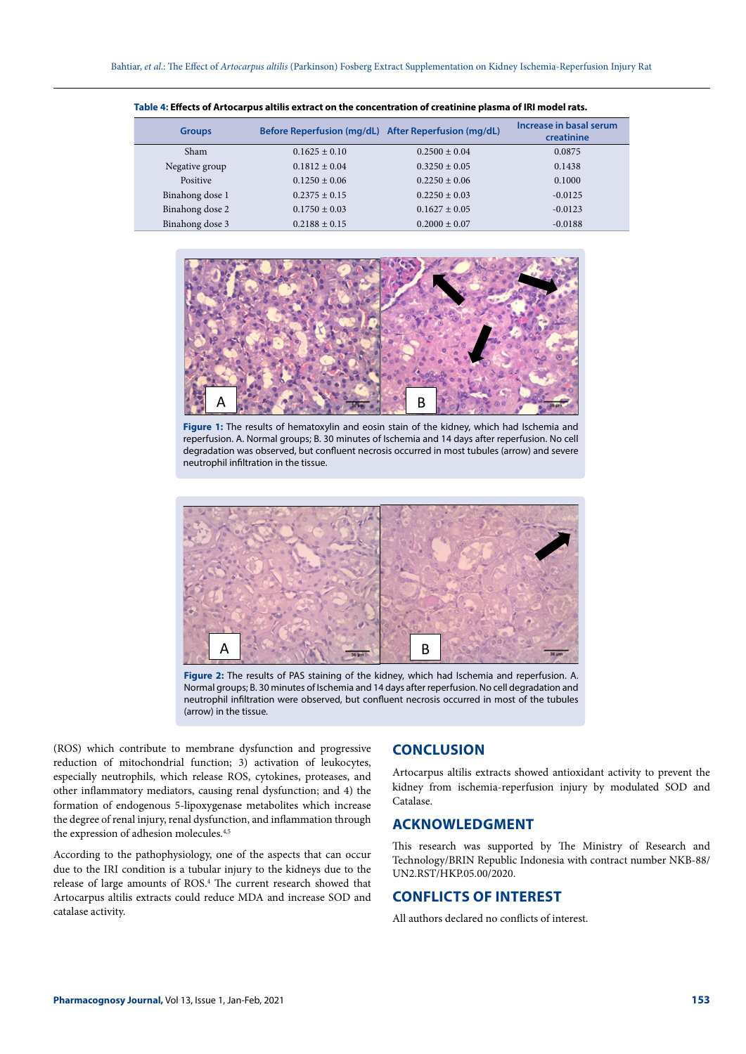| <b>Groups</b>   | Before Reperfusion (mg/dL) After Reperfusion (mg/dL) |                   | Increase in basal serum<br>creatinine |
|-----------------|------------------------------------------------------|-------------------|---------------------------------------|
| Sham            | $0.1625 \pm 0.10$                                    | $0.2500 + 0.04$   | 0.0875                                |
| Negative group  | $0.1812 \pm 0.04$                                    | $0.3250 \pm 0.05$ | 0.1438                                |
| Positive        | $0.1250 \pm 0.06$                                    | $0.2250 + 0.06$   | 0.1000                                |
| Binahong dose 1 | $0.2375 + 0.15$                                      | $0.2250 \pm 0.03$ | $-0.0125$                             |
| Binahong dose 2 | $0.1750 \pm 0.03$                                    | $0.1627 + 0.05$   | $-0.0123$                             |
| Binahong dose 3 | $0.2188 \pm 0.15$                                    | $0.2000 \pm 0.07$ | $-0.0188$                             |

**Table 4: Effects of Artocarpus altilis extract on the concentration of creatinine plasma of IRI model rats.**



Figure 1: The results of hematoxylin and eosin stain of the kidney, which had Ischemia and reperfusion. A. Normal groups; B. 30 minutes of Ischemia and 14 days after reperfusion. No cell degradation was observed, but confluent necrosis occurred in most tubules (arrow) and severe neutrophil infiltration in the tissue.



**Figure 2:** The results of PAS staining of the kidney, which had Ischemia and reperfusion. A. Normal groups; B. 30 minutes of Ischemia and 14 days after reperfusion. No cell degradation and neutrophil infiltration were observed, but confluent necrosis occurred in most of the tubules (arrow) in the tissue.

(ROS) which contribute to membrane dysfunction and progressive reduction of mitochondrial function; 3) activation of leukocytes, especially neutrophils, which release ROS, cytokines, proteases, and other inflammatory mediators, causing renal dysfunction; and 4) the formation of endogenous 5-lipoxygenase metabolites which increase the degree of renal injury, renal dysfunction, and inflammation through the expression of adhesion molecules.<sup>4,5</sup>

According to the pathophysiology, one of the aspects that can occur due to the IRI condition is a tubular injury to the kidneys due to the release of large amounts of ROS.4 The current research showed that Artocarpus altilis extracts could reduce MDA and increase SOD and catalase activity.

# **CONCLUSION**

Artocarpus altilis extracts showed antioxidant activity to prevent the kidney from ischemia-reperfusion injury by modulated SOD and Catalase.

# **ACKNOWLEDGMENT**

This research was supported by The Ministry of Research and Technology/BRIN Republic Indonesia with contract number NKB-88/ UN2.RST/HKP.05.00/2020.

# **CONFLICTS OF INTEREST**

All authors declared no conflicts of interest.